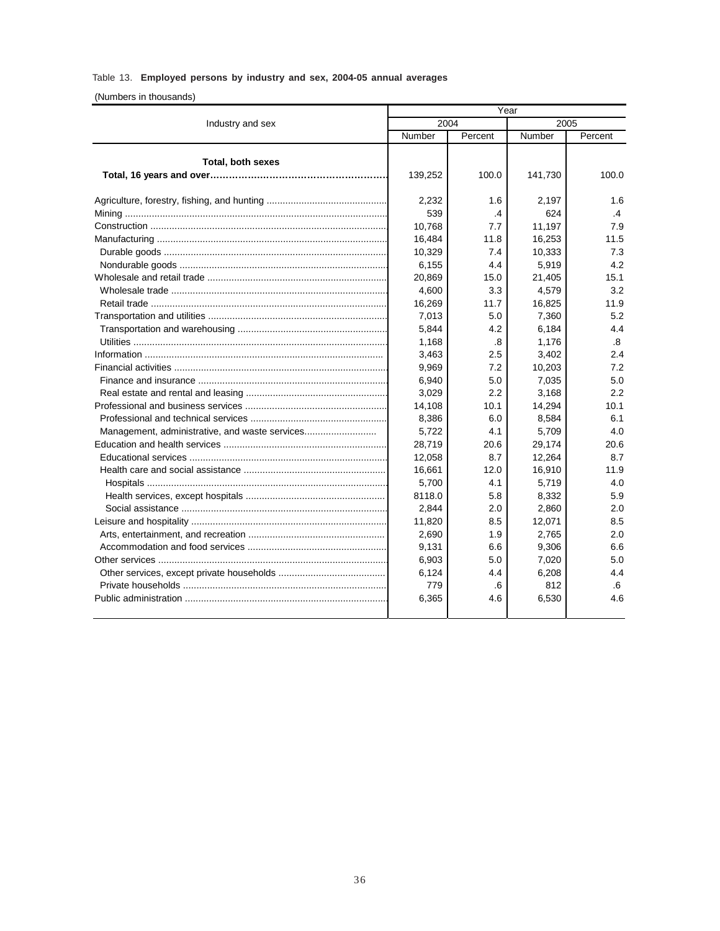## Table 13. **Employed persons by industry and sex, 2004-05 annual averages**

## (Numbers in thousands)

|                                                | Year    |         |         |         |
|------------------------------------------------|---------|---------|---------|---------|
| Industry and sex                               | 2004    |         | 2005    |         |
|                                                | Number  | Percent | Number  | Percent |
| <b>Total, both sexes</b>                       | 139,252 | 100.0   | 141,730 | 100.0   |
|                                                | 2,232   | 1.6     | 2,197   | 1.6     |
|                                                | 539     | .4      | 624     | $\cdot$ |
|                                                | 10,768  | 7.7     | 11,197  | 7.9     |
|                                                | 16,484  | 11.8    | 16,253  | 11.5    |
|                                                | 10,329  | 7.4     | 10,333  | 7.3     |
|                                                | 6,155   | 4.4     | 5,919   | 4.2     |
|                                                | 20,869  | 15.0    | 21,405  | 15.1    |
|                                                | 4,600   | 3.3     | 4,579   | 3.2     |
|                                                | 16,269  | 11.7    | 16,825  | 11.9    |
|                                                | 7,013   | 5.0     | 7,360   | 5.2     |
|                                                | 5,844   | 4.2     | 6,184   | 4.4     |
|                                                | 1,168   | .8      | 1,176   | .8      |
|                                                | 3,463   | 2.5     | 3,402   | 2.4     |
|                                                | 9,969   | 7.2     | 10,203  | 7.2     |
|                                                | 6,940   | 5.0     | 7,035   | 5.0     |
|                                                | 3,029   | 2.2     | 3,168   | 2.2     |
|                                                | 14,108  | 10.1    | 14,294  | 10.1    |
|                                                | 8,386   | 6.0     | 8,584   | 6.1     |
| Management, administrative, and waste services | 5,722   | 4.1     | 5,709   | 4.0     |
|                                                | 28.719  | 20.6    | 29,174  | 20.6    |
|                                                | 12,058  | 8.7     | 12,264  | 8.7     |
|                                                | 16,661  | 12.0    | 16,910  | 11.9    |
|                                                | 5.700   | 4.1     | 5,719   | 4.0     |
|                                                | 8118.0  | 5.8     | 8,332   | 5.9     |
|                                                | 2,844   | 2.0     | 2,860   | 2.0     |
|                                                | 11,820  | 8.5     | 12,071  | 8.5     |
|                                                | 2,690   | 1.9     | 2,765   | 2.0     |
|                                                | 9,131   | 6.6     | 9,306   | 6.6     |
|                                                | 6,903   | 5.0     | 7,020   | 5.0     |
|                                                | 6,124   | 4.4     | 6,208   | 4.4     |
|                                                | 779     | .6      | 812     | .6      |
|                                                | 6,365   | 4.6     | 6,530   | 4.6     |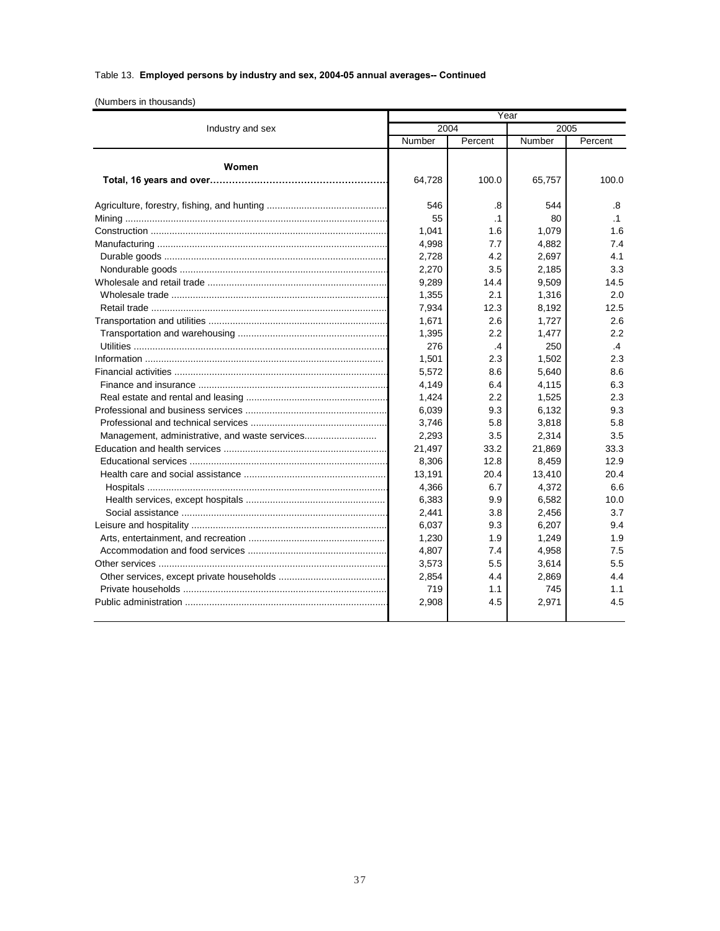## Table 13. **Employed persons by industry and sex, 2004-05 annual averages-- Continued**

(Numbers in thousands)

|                                                | Year      |                 |           |                 |
|------------------------------------------------|-----------|-----------------|-----------|-----------------|
| Industry and sex                               | 2004      |                 | 2005      |                 |
|                                                | Number    | Percent         | Number    | Percent         |
| Women                                          | 64,728    | 100.0           | 65,757    | 100.0           |
|                                                | 546<br>55 | .8<br>$\cdot$ 1 | 544<br>80 | .8<br>$\cdot$ 1 |
|                                                | 1,041     | 1.6             | 1,079     | 1.6             |
|                                                | 4,998     | 7.7             | 4,882     | 7.4             |
|                                                | 2,728     | 4.2             | 2,697     | 4.1             |
|                                                | 2.270     | 3.5             | 2,185     | 3.3             |
|                                                | 9,289     | 14.4            | 9,509     | 14.5            |
|                                                | 1,355     | 2.1             | 1,316     | 2.0             |
|                                                | 7,934     | 12.3            | 8,192     | 12.5            |
|                                                | 1.671     | 2.6             | 1,727     | 2.6             |
|                                                | 1,395     | 2.2             | 1,477     | 2.2             |
| Utilities ……………………………………………………………………………………     | 276       | .4              | 250       | .4              |
|                                                | 1,501     | 2.3             | 1,502     | 2.3             |
|                                                | 5,572     | 8.6             | 5,640     | 8.6             |
|                                                | 4,149     | 6.4             | 4,115     | 6.3             |
|                                                | 1,424     | 2.2             | 1,525     | 2.3             |
|                                                | 6,039     | 9.3             | 6,132     | 9.3             |
|                                                | 3.746     | 5.8             | 3,818     | 5.8             |
| Management, administrative, and waste services | 2,293     | 3.5             | 2,314     | 3.5             |
|                                                | 21,497    | 33.2            | 21,869    | 33.3            |
|                                                | 8,306     | 12.8            | 8,459     | 12.9            |
|                                                | 13,191    | 20.4            | 13,410    | 20.4            |
|                                                | 4,366     | 6.7             | 4,372     | 6.6             |
|                                                | 6,383     | 9.9             | 6,582     | 10.0            |
|                                                | 2,441     | 3.8             | 2,456     | 3.7             |
|                                                | 6,037     | 9.3             | 6,207     | 9.4             |
|                                                | 1,230     | 1.9             | 1,249     | 1.9             |
|                                                | 4,807     | 7.4             | 4,958     | 7.5             |
|                                                | 3,573     | 5.5             | 3,614     | 5.5             |
|                                                | 2,854     | 4.4             | 2,869     | 4.4             |
|                                                | 719       | 1.1             | 745       | 1.1             |
|                                                | 2,908     | 4.5             | 2,971     | 4.5             |